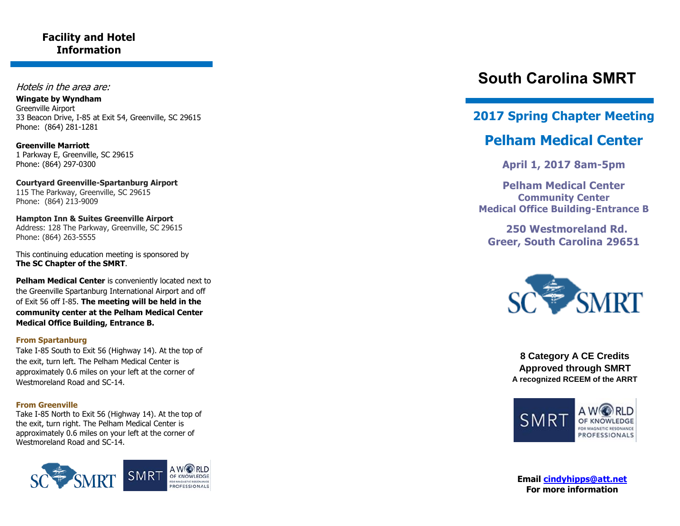### **Facility and Hotel Information**

#### Hotels in the area are:

**Wingate by Wyndham**  Greenville Airport 33 Beacon Drive, I -85 at Exit 54, Greenville, SC 29615 Phone: (864) 281 -1281

**Greenville Marriott** 1 Parkway E, Greenville, SC 29615 Phone: (864) 297 -0300

**Courtyard Greenville -Spartanburg Airport** 115 The Parkway, Greenville, SC 29615 Phone: (864) 213 -9009

**Hampton Inn & Suites Greenville Airport** Address: 128 The Parkway, Greenville, SC 29615 Phone: (864) 263 -5555

This continuing education meeting is sponsored by **The SC Chapter of the SMRT** .

**Pelham Medical Center** is conveniently located next to the Greenville Spartanburg International Airport and off of Exit 56 off I -85. **The meeting will be held in the community center at the Pelham Medical Center Medical Office Building, Entrance B.**

#### **From Spartanburg**

Take I -85 South to Exit 56 (Highway 14). At the top of the exit, turn left. The Pelham Medical Center is approximately 0.6 miles on your left at the corner of Westmoreland Road and SC -14.

#### **From Greenville**

Take I -85 North to Exit 56 (Highway 14). At the top of the exit, turn right. The Pelham Medical Center is approximately 0.6 miles on your left at the corner of Westmoreland Road and SC -14.



# **South Carolina SMRT**

### **2017 Spring Chapter Meeting**

## **Pelham Medical Center**

**April 1, 2017 8am -5pm**

**Pelham Medical Center Community Center Medical Office Building -Entrance B**

 **250 Westmoreland Rd. Greer , South Carolina 29651**



**8 Category A CE Credits Approved through SMRT A recognized RCEEM of the ARRT**



**Email [cindyhipps@att.net](mailto:cindyhipps@att.net) For more information**